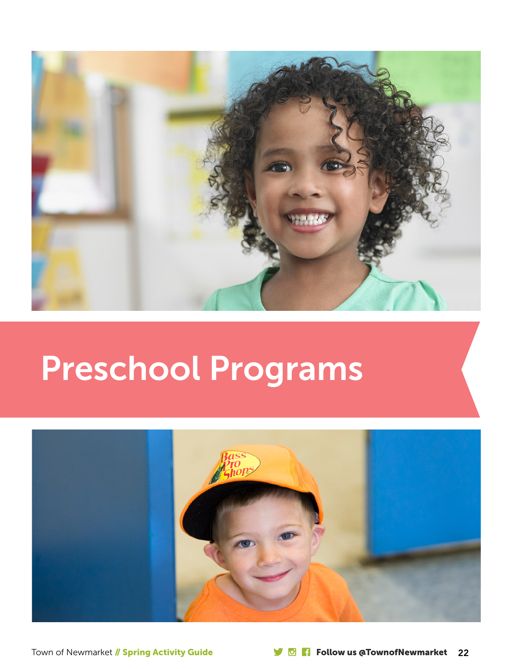

# Preschool Programs

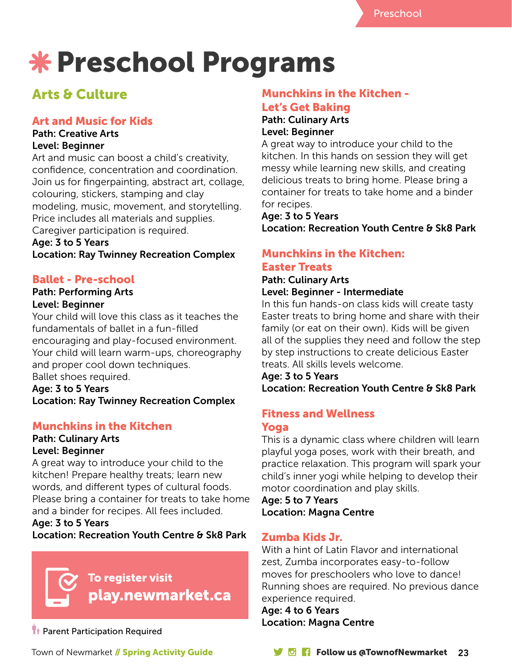# **\* Preschool Programs**

# Arts & Culture

## Art and Music for Kids

#### Path: Creative Arts Level: Beginner

Art and music can boost a child's creativity, confidence, concentration and coordination. Join us for fingerpainting, abstract art, collage, colouring, stickers, stamping and clay modeling, music, movement, and storytelling. Price includes all materials and supplies. Caregiver participation is required.

# Age: 3 to 5 Years

Location: Ray Twinney Recreation Complex

## Ballet - Pre-school

#### Path: Performing Arts Level: Beginner

Your child will love this class as it teaches the fundamentals of ballet in a fun-filled encouraging and play-focused environment. Your child will learn warm-ups, choreography and proper cool down techniques. Ballet shoes required.

Age: 3 to 5 Years Location: Ray Twinney Recreation Complex

## Munchkins in the Kitchen

#### Path: Culinary Arts Level: Beginner

A great way to introduce your child to the kitchen! Prepare healthy treats; learn new words, and different types of cultural foods. Please bring a container for treats to take home and a binder for recipes. All fees included.

#### Age: 3 to 5 Years

Location: Recreation Youth Centre & Sk8 Park



**T** Parent Participation Required

#### Munchkins in the Kitchen - Let's Get Baking Path: Culinary Arts

# Level: Beginner

A great way to introduce your child to the kitchen. In this hands on session they will get messy while learning new skills, and creating delicious treats to bring home. Please bring a container for treats to take home and a binder for recipes.

## Age: 3 to 5 Years Location: Recreation Youth Centre & Sk8 Park

## Munchkins in the Kitchen: Easter Treats

#### Path: Culinary Arts Level: Beginner - Intermediate

In this fun hands-on class kids will create tasty Easter treats to bring home and share with their family (or eat on their own). Kids will be given all of the supplies they need and follow the step by step instructions to create delicious Easter treats. All skills levels welcome.

Age: 3 to 5 Years Location: Recreation Youth Centre & Sk8 Park

# Fitness and Wellness

#### Yoga

This is a dynamic class where children will learn playful yoga poses, work with their breath, and practice relaxation. This program will spark your child's inner yogi while helping to develop their motor coordination and play skills.

Age: 5 to 7 Years Location: Magna Centre

## Zumba Kids Jr.

With a hint of Latin Flavor and international zest, Zumba incorporates easy-to-follow moves for preschoolers who love to dance! Running shoes are required. No previous dance experience required.

Age: 4 to 6 Years Location: Magna Centre